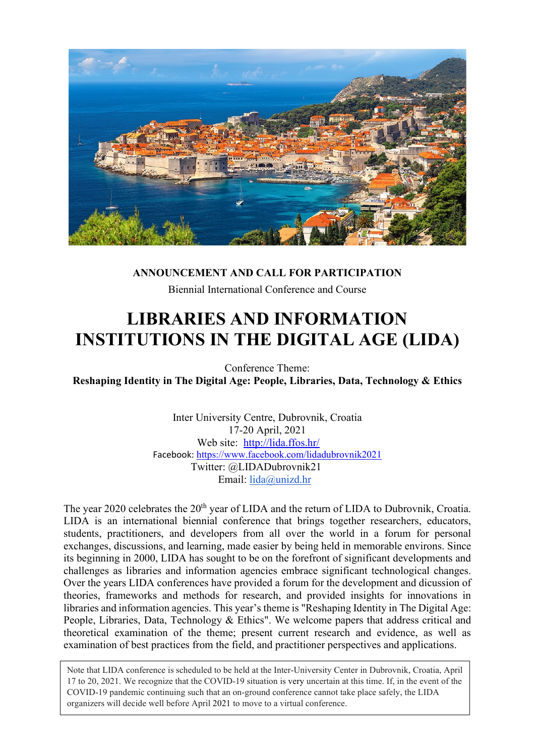

#### **ANNOUNCEMENT AND CALL FOR PARTICIPATION**

Biennial International Conference and Course

# **LIBRARIES AND INFORMATION INSTITUTIONS IN THE DIGITAL AGE (LIDA)**

Conference Theme: **Reshaping Identity in The Digital Age: People, Libraries, Data, Technology & Ethics**

> Inter University Centre, Dubrovnik, Croatia 17-20 April, 2021 Web site: <http://lida.ffos.hr/> Facebook: <https://www.facebook.com/lidadubrovnik2021> Twitter: @LIDADubrovnik21 Email: [lida@unizd.hr](mailto:lida@unizd.hr)

The year 2020 celebrates the 20<sup>th</sup> year of LIDA and the return of LIDA to Dubrovnik, Croatia. LIDA is an international biennial conference that brings together researchers, educators, students, practitioners, and developers from all over the world in a forum for personal exchanges, discussions, and learning, made easier by being held in memorable environs. Since its beginning in 2000, LIDA has sought to be on the forefront of significant developments and challenges as libraries and information agencies embrace significant technological changes. Over the years LIDA conferences have provided a forum for the development and dicussion of theories, frameworks and methods for research, and provided insights for innovations in libraries and information agencies. This year's theme is "Reshaping Identity in The Digital Age: People, Libraries, Data, Technology & Ethics". We welcome papers that address critical and theoretical examination of the theme; present current research and evidence, as well as examination of best practices from the field, and practitioner perspectives and applications.

Note that LIDA conference is scheduled to be held at the Inter-University Center in Dubrovnik, Croatia, April 17 to 20, 2021. We recognize that the COVID-19 situation is very uncertain at this time. If, in the event of the COVID-19 pandemic continuing such that an on-ground conference cannot take place safely, the LIDA organizers will decide well before April 2021 to move to a virtual conference.